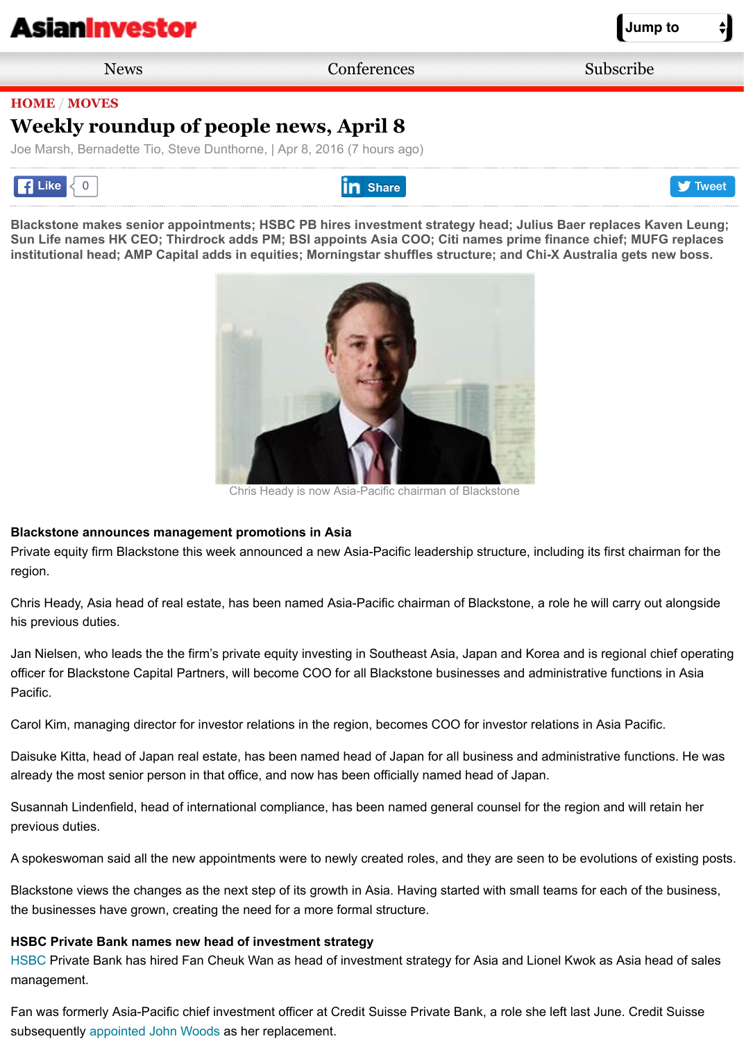**[Blackstone makes senior app](http://m.asianinvestor.net/Default.aspx)ointments; HSBC PB hires investment strategy head; Julius Baer replaces K** Sun Life names HK CEO; Thirdrock adds PM; BSI appoints Asia COO; Citi names prime finance chief; MU **[institutional head; AMP Capital adds in](http://m.asianinvestor.net/News/default.aspx) [equities; Morningstar shuffles structure;](http://m.asianinvestor.net/Events/default.aspx) [and Chi-X Australia gets new boss.](https://apac.haymarket.com/AsianInvestor/)**



Chris Heady is now Asia-Pacific chairman of Blackstone

#### **Blackstone announces management promotions in Asia**

Private equity firm Blackstone this week announced a new Asia-Pacific leadership structure, including its first chai region.

Chris Heady, Asia head of real estate, has been named Asia-Pacific chairman of Blackstone, a role he will carry o his previous duties.

Jan Nielsen, who leads the the firm's private equity investing in Southeast Asia, Japan and Korea and is regional officer for Blackstone Capital Partners, will become COO for all Blackstone businesses and administrative function Pacific.

Carol Kim, managing director for investor relations in the region, becomes COO for investor relations in Asia Pacific.

Daisuke Kitta, head of Japan real estate, has been named head of Japan for all business and administrative funct already the most senior person in that office, and now has been officially named head of Japan.

Susannah Lindenfield, head of international compliance, has been named general counsel for the region and will r previous duties.

A spokeswoman said all the new appointments were to newly created roles, and they are seen to be evolutions of

Blackstone views the changes as the next step of its growth in Asia. Having started with small teams for each of the the businesses have grown, creating the need for a more formal structure.

# **HSBC Private Bank names new head of investment strategy**

HSBC Private Bank has hired Fan Cheuk Wan as head of investment strategy for Asia and Lionel Kwok as Asia h management.

Fan was formerly Asia-Pacific chief investment officer at Credit Suisse Private Bank, a role she left last June. Cred subsequently appointed John Woods as her replacement.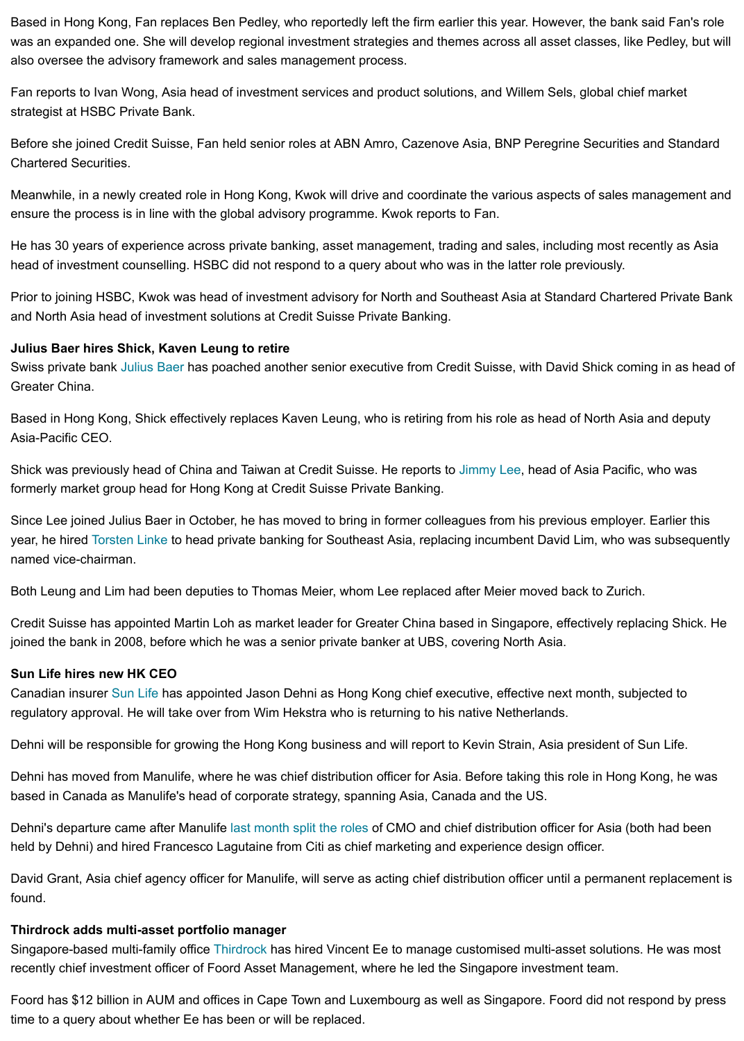Meanwhile, in a newly created role in Hong Kong, Kwok will drive and coordinate the various aspects of sales management and ensure the process is in line with the global advisory programme. Kwok reports to Fan.

He has 30 years of experience across private banking, asset management, trading and sales, including most rece head of investment counselling. HSBC did not respond to a query about who was in the latter role previously.

Prior to joining HSBC, Kwok was head of investment advisory for North and Southeast Asia at Standard Chartered and North Asia head of investment solutions at Credit Suisse Private Banking.

# **Julius Baer hires Shick, Kaven Leung to retire**

Swiss private bank Julius Baer has poached another senior executive from Credit Suisse, with David Shick comin Greater China.

Based in Hong Kong, Shick effectively replaces Kaven Leung, who is retiring from his role as head of North Asia a Asia-Pacific CEO.

Shick was previously head of China and Taiwan at Credit Suisse. He reports to Jimmy Lee, head of Asia Pacific, w formerly market group head for Hong Kong at Credit Suisse Private Banking.

Since Lee joined Julius Baer in October, he has moved to bring in former colleagues from his previous employer. I year, he hired Torsten Linke to head private banking for Southeast Asia, replacing incumbent David Lim, who was named vice-chairm[an.](http://www.asianinvestor.net/Tag/julius_baer.aspx)

Both Leung and Lim had been deputies to Thomas Meier, whom Lee replaced after Meier moved back to Zurich.

Credit Suisse has appointed Martin Loh as market leader for Greater China based in Singapore, effectively replac joined the bank in 2008, before which he was a senior private banker at UBS, covering North Asia.

### **Sun Life hires new HK CEO**

Canadian insurer Sun Life has appointed Jason Dehni as Hong Kong chief executive, effective next month, subjec regulatory approval. He will take over from Wim Hekstra who is returning to his native Netherlands.

Dehni will be r[esponsible for](http://%20http//www.asianinvestor.net/News/405067,julius-baer-continues-management-shuffle.aspx) growing the Hong Kong business and will report to Kevin Strain, Asia president of Su

Dehni has moved from Manulife, where he was chief distribution officer for Asia. Before taking this role in Hong Ko based in Canada as Manulife's head of corporate strategy, spanning Asia, Canada and the US.

Dehni's departure came after Manulife last month split the roles of CMO and chief distribution officer for Asia (both held by Dehni) and hired Francesco Lagutaine from Citi as chief marketing and experience design officer.

David Grant, Asi[a chief ag](http://www.asianinvestor.net/Tag/sun_life.aspx)ency officer for Manulife, will serve as acting chief distribution officer until a permanent i found.

### **Thirdrock adds multi-asset portfolio manager**

Singapore-based multi-family office Thirdrock has hired Vincent Ee to manage customised multi-asset solutions. H recently chief investment officer of Foord Asset Management, where he led the Singapore investment team.

Foord has \$12 billion in AUM and offices in Cape Town and Luxembourg as well as Singapore. Foord did not resp time to a query about whether Ee has [been or will be replaced.](http://www.asianinvestor.net/News/406676,weekly-roundup-of-people-news-march-18.aspx)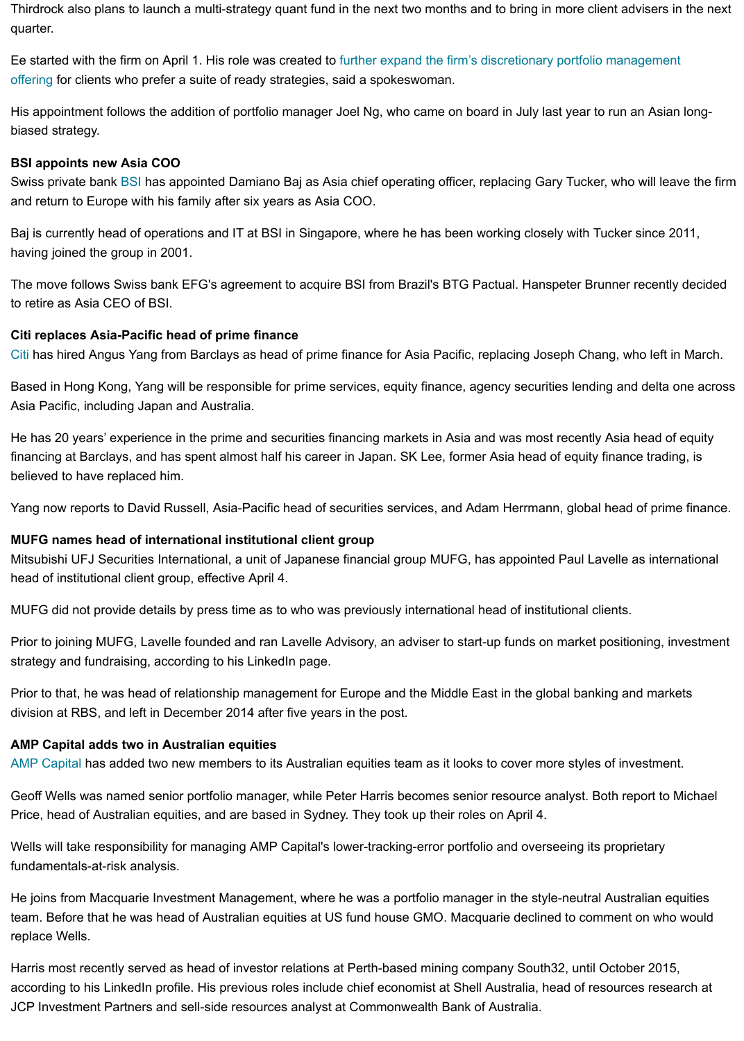and return to Europe with his family after six years as Asia COO.

Baj is currently head of operations and IT at BSI in Singapore, where he has been working closely with Tucker sin having joined the group in 2001.

The move follows Swiss bank EFG's agreement to acquire BSI from Brazil's BTG Pactual. Hanspeter Brunner rec to retire as Asia CEO of BSI.

## **Citi replaces Asia-Pacific head of prime finance**

Citi has hired Angus Yang from Barclays as head of prime finance for Asia Pacific, replacing Joseph Chang, who l

Based in Hong Ko[ng, Y](http://www.asianinvestor.net/Tag/bsi.aspx)ang will be responsible for prime services, equity finance, agency securities lending and de Asia Pacific, including Japan and Australia.

He has 20 years' experience in the prime and securities financing markets in Asia and was most recently Asia hea financing at Barclays, and has spent almost half his career in Japan. SK Lee, former Asia head of equity finance t believed to have replaced him.

Yang now reports to David Russell, Asia-Pacific head of securities services, and Adam Herrmann, global head of

## **MUFG names head of international institutional client group**

[Mits](http://www.asianinvestor.net/Tag/citi.aspx)ubishi UFJ Securities International, a unit of Japanese financial group MUFG, has appointed Paul Lavelle as i head of institutional client group, effective April 4.

MUFG did not provide details by press time as to who was previously international head of institutional clients.

Prior to joining MUFG, Lavelle founded and ran Lavelle Advisory, an adviser to start-up funds on market positionin strategy and fundraising, according to his LinkedIn page.

Prior to that, he was head of relationship management for Europe and the Middle East in the global banking and r division at RBS, and left in December 2014 after five years in the post.

### **AMP Capital adds two in Australian equities**

AMP Capital has added two new members to its Australian equities team as it looks to cover more styles of invest

Geoff Wells was named senior portfolio manager, while Peter Harris becomes senior resource analyst. Both repor Price, head of Australian equities, and are based in Sydney. They took up their roles on April 4.

Wells will take responsibility for managing AMP Capital's lower-tracking-error portfolio and overseeing its proprietary fundamentals-at-risk analysis.

He joins from Macquarie Investment Management, where he was a portfolio manager in the style-neutral Australia team. Before that he was head of Australian equities at US fund house GMO. Macquarie declined to comment on replace Wells.

[Harris most r](http://www.asianinvestor.net/Tag/amp.aspx)ecently served as head of investor relations at Perth-based mining company South32, until October 2 according to his LinkedIn profile. His previous roles include chief economist at Shell Australia, head of resources r JCP Investment Partners and sell-side resources analyst at Commonwealth Bank of Australia.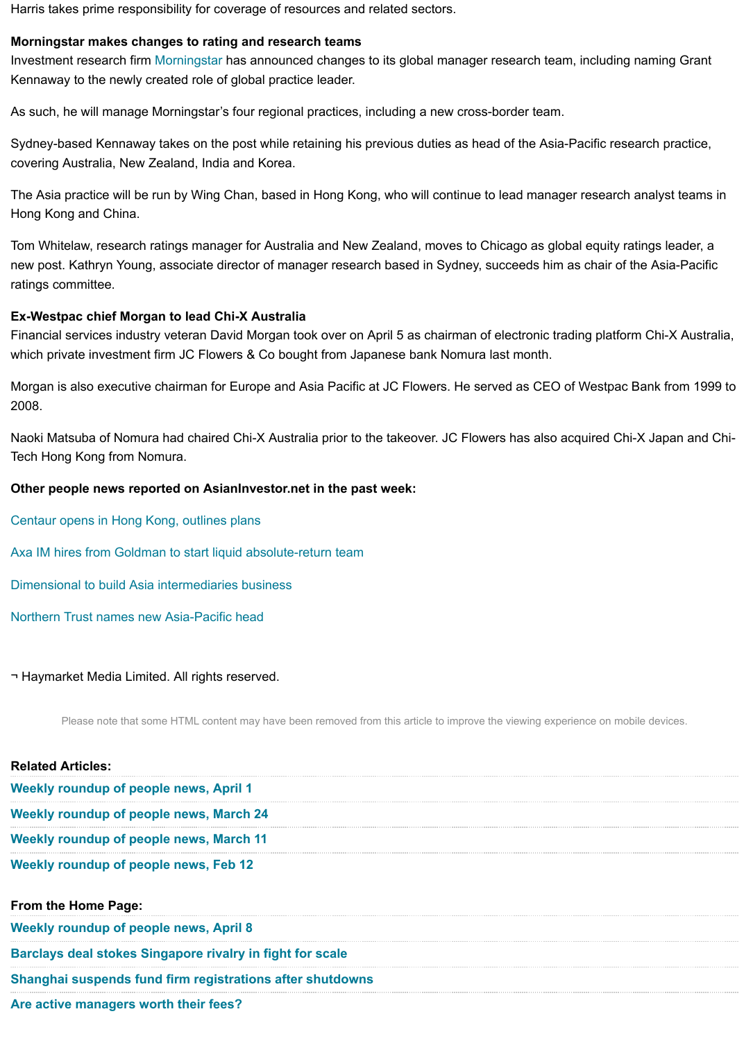The Asia practice will be run by Wing Chan, based in Hong Kong, who will continue to lead manager research analyst teams in Hong Kong and China.

Tom Whitelaw, research ratings manager for Australia and New Zealand, moves to Chicago as global equity rating new post. Kathryn Young[, associate d](http://www.asianinvestor.net/Tag/morningstar.aspx)irector of manager research based in Sydney, succeeds him as chair of the ratings committee.

#### **Ex-Westpac chief Morgan to lead Chi-X Australia**

Financial services industry veteran David Morgan took over on April 5 as chairman of electronic trading platform C which private investment firm JC Flowers & Co bought from Japanese bank Nomura last month.

Morgan is also executive chairman for Europe and Asia Pacific at JC Flowers. He served as CEO of Westpac Bar 2008.

Naoki Matsuba of Nomura had chaired Chi-X Australia prior to the takeover. JC Flowers has also acquired Chi-X J Tech Hong Kong from Nomura.

#### **Other people news reported on AsianInvestor.net in the past week:**

Centaur opens in Hong Kong, outlines plans

Axa IM hires from Goldman to start liquid absolute-return team

Dimensional to build Asia intermediaries business

Northern Trust names new Asia-Pacific head

¬ Haymarket Media Limited. All rights reserved.

[Please note that some HTML content may](http://www.asianinvestor.net/News/407139,centaur-opens-in-hong-kong-outlines-plans.aspx) have been removed from this article to improve the viewing experience on mobile or

| <b>Weekly roundup of people news, April 1</b><br><b>Weekly roundup of people news, March 24</b><br>Weekly roundup of people news, March 11<br>Weekly roundup of people news, Feb 12<br>From the Home Page:<br><b>Weekly roundup of people news, April 8</b><br><b>Barclays deal stokes Singapore rivalry in fight for scale</b><br>Shanghai suspends fund firm registrations after shutdowns<br>Are active managers worth their fees? | <b>Related Articles:</b> |  |
|---------------------------------------------------------------------------------------------------------------------------------------------------------------------------------------------------------------------------------------------------------------------------------------------------------------------------------------------------------------------------------------------------------------------------------------|--------------------------|--|
|                                                                                                                                                                                                                                                                                                                                                                                                                                       |                          |  |
|                                                                                                                                                                                                                                                                                                                                                                                                                                       |                          |  |
|                                                                                                                                                                                                                                                                                                                                                                                                                                       |                          |  |
|                                                                                                                                                                                                                                                                                                                                                                                                                                       |                          |  |
|                                                                                                                                                                                                                                                                                                                                                                                                                                       |                          |  |
|                                                                                                                                                                                                                                                                                                                                                                                                                                       |                          |  |
|                                                                                                                                                                                                                                                                                                                                                                                                                                       |                          |  |
|                                                                                                                                                                                                                                                                                                                                                                                                                                       |                          |  |
|                                                                                                                                                                                                                                                                                                                                                                                                                                       |                          |  |